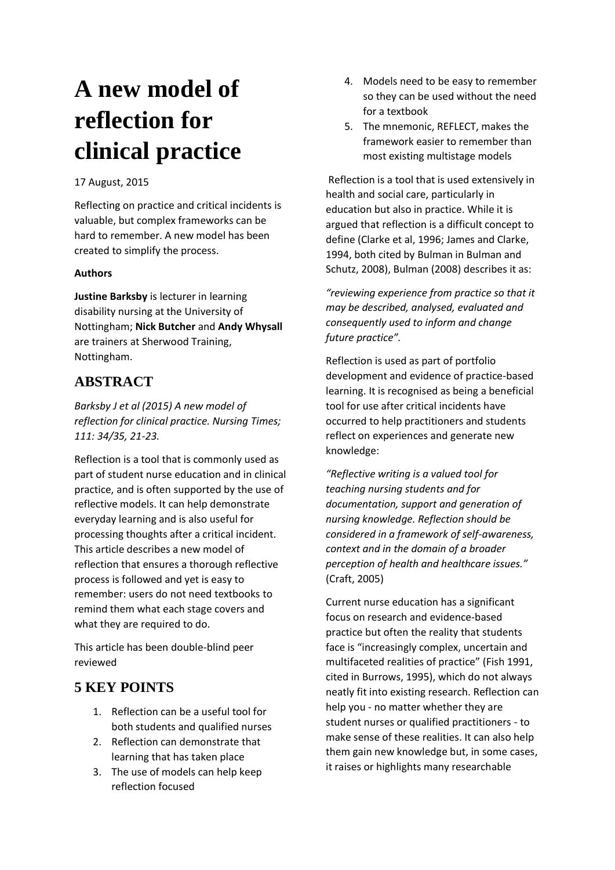# **A new model of reflection for clinical practice**

#### 17 August, 2015

Reflecting on practice and critical incidents is valuable, but complex frameworks can be hard to remember. A new model has been created to simplify the process.

#### **Authors**

**Justine Barksby** is lecturer in learning disability nursing at the University of Nottingham; **Nick Butcher** and **Andy Whysall** are trainers at Sherwood Training, Nottingham.

# **ABSTRACT**

*Barksby J et al (2015) A new model of reflection for clinical practice. Nursing Times; 111: 34/35, 21-23.*

Reflection is a tool that is commonly used as part of student nurse education and in clinical practice, and is often supported by the use of reflective models. It can help demonstrate everyday learning and is also useful for processing thoughts after a critical incident. This article describes a new model of reflection that ensures a thorough reflective process is followed and yet is easy to remember: users do not need textbooks to remind them what each stage covers and what they are required to do.

This article has been double-blind peer reviewed

# **5 KEY POINTS**

- 1. Reflection can be a useful tool for both students and qualified nurses
- 2. Reflection can demonstrate that learning that has taken place
- 3. The use of models can help keep reflection focused
- 4. Models need to be easy to remember so they can be used without the need for a textbook
- 5. The mnemonic, REFLECT, makes the framework easier to remember than most existing multistage models

Reflection is a tool that is used extensively in health and social care, particularly in education but also in practice. While it is argued that reflection is a difficult concept to define (Clarke et al, 1996; James and Clarke, 1994, both cited by Bulman in Bulman and Schutz, 2008), Bulman (2008) describes it as:

*"reviewing experience from practice so that it may be described, analysed, evaluated and consequently used to inform and change future practice".*

Reflection is used as part of portfolio development and evidence of practice-based learning. It is recognised as being a beneficial tool for use after critical incidents have occurred to help practitioners and students reflect on experiences and generate new knowledge:

*"Reflective writing is a valued tool for teaching nursing students and for documentation, support and generation of nursing knowledge. Reflection should be considered in a framework of self-awareness, context and in the domain of a broader perception of health and healthcare issues."* (Craft, 2005)

Current nurse education has a significant focus on research and evidence-based practice but often the reality that students face is "increasingly complex, uncertain and multifaceted realities of practice" (Fish 1991, cited in Burrows, 1995), which do not always neatly fit into existing research. Reflection can help you - no matter whether they are student nurses or qualified practitioners - to make sense of these realities. It can also help them gain new knowledge but, in some cases, it raises or highlights many researchable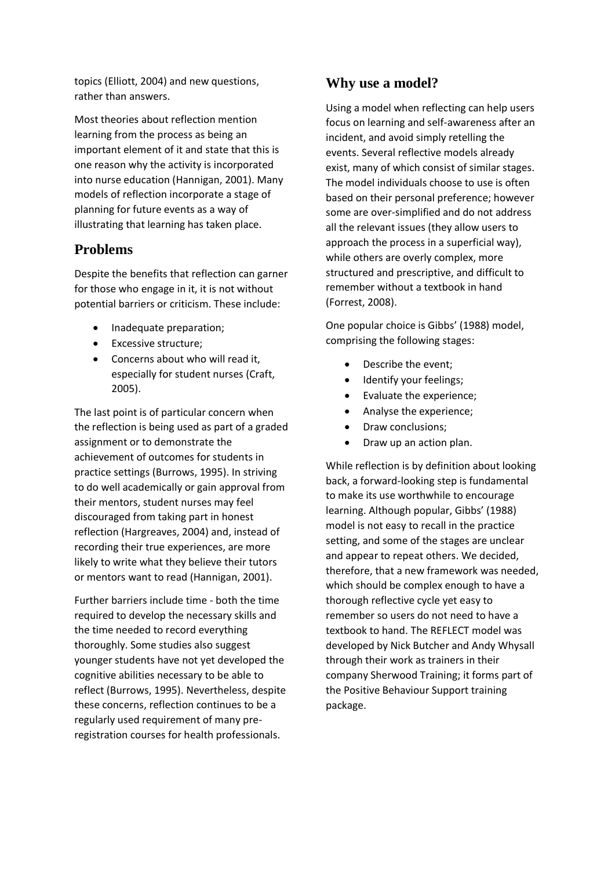topics (Elliott, 2004) and new questions, rather than answers.

Most theories about reflection mention learning from the process as being an important element of it and state that this is one reason why the activity is incorporated into nurse education (Hannigan, 2001). Many models of reflection incorporate a stage of planning for future events as a way of illustrating that learning has taken place.

## **Problems**

Despite the benefits that reflection can garner for those who engage in it, it is not without potential barriers or criticism. These include:

- Inadequate preparation;
- Excessive structure;
- Concerns about who will read it, especially for student nurses (Craft, 2005).

The last point is of particular concern when the reflection is being used as part of a graded assignment or to demonstrate the achievement of outcomes for students in practice settings (Burrows, 1995). In striving to do well academically or gain approval from their mentors, student nurses may feel discouraged from taking part in honest reflection (Hargreaves, 2004) and, instead of recording their true experiences, are more likely to write what they believe their tutors or mentors want to read (Hannigan, 2001).

Further barriers include time - both the time required to develop the necessary skills and the time needed to record everything thoroughly. Some studies also suggest younger students have not yet developed the cognitive abilities necessary to be able to reflect (Burrows, 1995). Nevertheless, despite these concerns, reflection continues to be a regularly used requirement of many preregistration courses for health professionals.

## **Why use a model?**

Using a model when reflecting can help users focus on learning and self-awareness after an incident, and avoid simply retelling the events. Several reflective models already exist, many of which consist of similar stages. The model individuals choose to use is often based on their personal preference; however some are over-simplified and do not address all the relevant issues (they allow users to approach the process in a superficial way), while others are overly complex, more structured and prescriptive, and difficult to remember without a textbook in hand (Forrest, 2008).

One popular choice is Gibbs' (1988) model, comprising the following stages:

- Describe the event;
- Identify your feelings;
- Evaluate the experience;
- Analyse the experience;
- Draw conclusions;
- Draw up an action plan.

While reflection is by definition about looking back, a forward-looking step is fundamental to make its use worthwhile to encourage learning. Although popular, Gibbs' (1988) model is not easy to recall in the practice setting, and some of the stages are unclear and appear to repeat others. We decided, therefore, that a new framework was needed, which should be complex enough to have a thorough reflective cycle yet easy to remember so users do not need to have a textbook to hand. The REFLECT model was developed by Nick Butcher and Andy Whysall through their work as trainers in their company Sherwood Training; it forms part of the Positive Behaviour Support training package.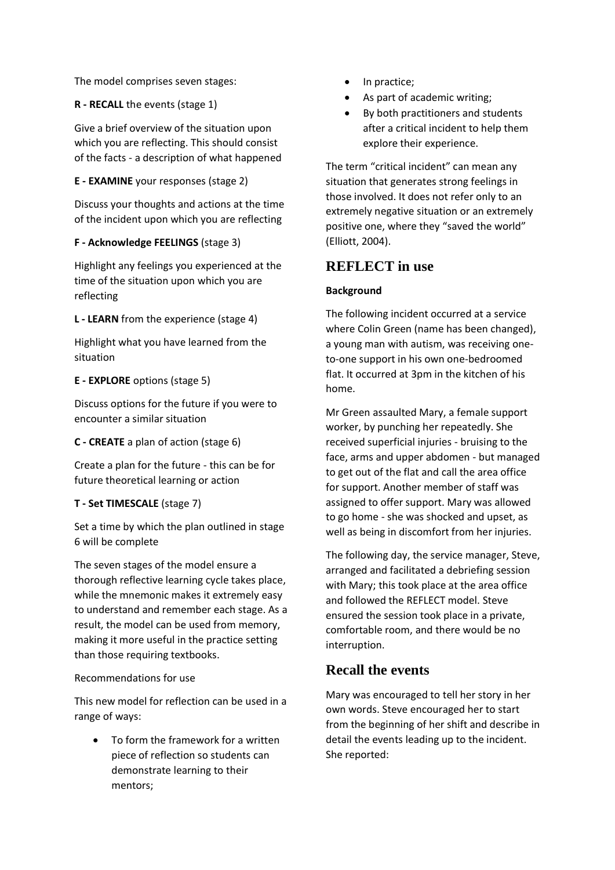The model comprises seven stages:

### **R - RECALL** the events (stage 1)

Give a brief overview of the situation upon which you are reflecting. This should consist of the facts - a description of what happened

#### **E - EXAMINE** your responses (stage 2)

Discuss your thoughts and actions at the time of the incident upon which you are reflecting

### **F - Acknowledge FEELINGS** (stage 3)

Highlight any feelings you experienced at the time of the situation upon which you are reflecting

**L - LEARN** from the experience (stage 4)

Highlight what you have learned from the situation

### **E - EXPLORE** options (stage 5)

Discuss options for the future if you were to encounter a similar situation

**C - CREATE** a plan of action (stage 6)

Create a plan for the future - this can be for future theoretical learning or action

#### **T - Set TIMESCALE** (stage 7)

Set a time by which the plan outlined in stage 6 will be complete

The seven stages of the model ensure a thorough reflective learning cycle takes place, while the mnemonic makes it extremely easy to understand and remember each stage. As a result, the model can be used from memory, making it more useful in the practice setting than those requiring textbooks.

## Recommendations for use

This new model for reflection can be used in a range of ways:

 To form the framework for a written piece of reflection so students can demonstrate learning to their mentors;

- In practice;
- As part of academic writing;
- By both practitioners and students after a critical incident to help them explore their experience.

The term "critical incident" can mean any situation that generates strong feelings in those involved. It does not refer only to an extremely negative situation or an extremely positive one, where they "saved the world" (Elliott, 2004).

## **REFLECT in use**

### **Background**

The following incident occurred at a service where Colin Green (name has been changed), a young man with autism, was receiving oneto-one support in his own one-bedroomed flat. It occurred at 3pm in the kitchen of his home.

Mr Green assaulted Mary, a female support worker, by punching her repeatedly. She received superficial injuries - bruising to the face, arms and upper abdomen - but managed to get out of the flat and call the area office for support. Another member of staff was assigned to offer support. Mary was allowed to go home - she was shocked and upset, as well as being in discomfort from her injuries.

The following day, the service manager, Steve, arranged and facilitated a debriefing session with Mary; this took place at the area office and followed the REFLECT model. Steve ensured the session took place in a private, comfortable room, and there would be no interruption.

# **Recall the events**

Mary was encouraged to tell her story in her own words. Steve encouraged her to start from the beginning of her shift and describe in detail the events leading up to the incident. She reported: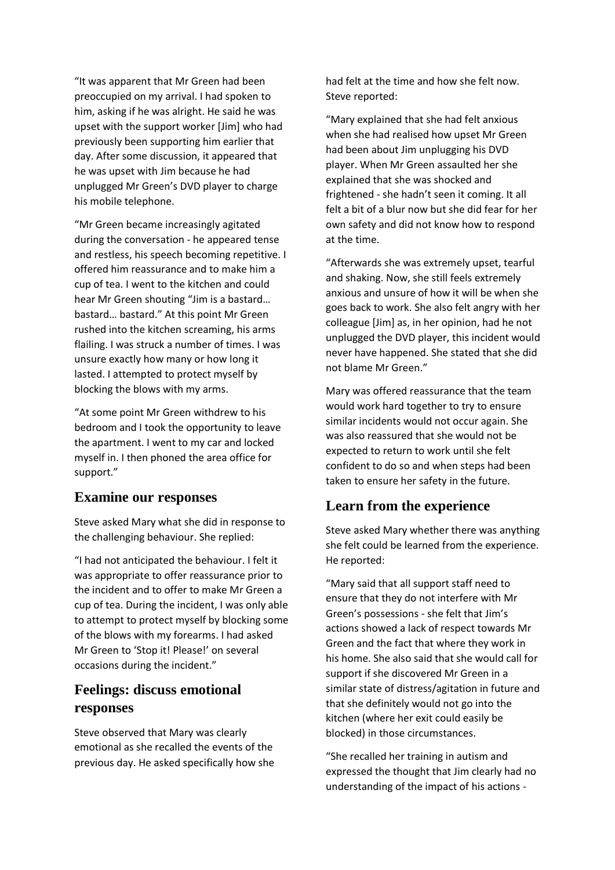"It was apparent that Mr Green had been preoccupied on my arrival. I had spoken to him, asking if he was alright. He said he was upset with the support worker [Jim] who had previously been supporting him earlier that day. After some discussion, it appeared that he was upset with Jim because he had unplugged Mr Green's DVD player to charge his mobile telephone.

"Mr Green became increasingly agitated during the conversation - he appeared tense and restless, his speech becoming repetitive. I offered him reassurance and to make him a cup of tea. I went to the kitchen and could hear Mr Green shouting "Jim is a bastard… bastard… bastard." At this point Mr Green rushed into the kitchen screaming, his arms flailing. I was struck a number of times. I was unsure exactly how many or how long it lasted. I attempted to protect myself by blocking the blows with my arms.

"At some point Mr Green withdrew to his bedroom and I took the opportunity to leave the apartment. I went to my car and locked myself in. I then phoned the area office for support."

### **Examine our responses**

Steve asked Mary what she did in response to the challenging behaviour. She replied:

"I had not anticipated the behaviour. I felt it was appropriate to offer reassurance prior to the incident and to offer to make Mr Green a cup of tea. During the incident, I was only able to attempt to protect myself by blocking some of the blows with my forearms. I had asked Mr Green to 'Stop it! Please!' on several occasions during the incident."

## **Feelings: discuss emotional responses**

Steve observed that Mary was clearly emotional as she recalled the events of the previous day. He asked specifically how she had felt at the time and how she felt now. Steve reported:

"Mary explained that she had felt anxious when she had realised how upset Mr Green had been about Jim unplugging his DVD player. When Mr Green assaulted her she explained that she was shocked and frightened - she hadn't seen it coming. It all felt a bit of a blur now but she did fear for her own safety and did not know how to respond at the time.

"Afterwards she was extremely upset, tearful and shaking. Now, she still feels extremely anxious and unsure of how it will be when she goes back to work. She also felt angry with her colleague [Jim] as, in her opinion, had he not unplugged the DVD player, this incident would never have happened. She stated that she did not blame Mr Green."

Mary was offered reassurance that the team would work hard together to try to ensure similar incidents would not occur again. She was also reassured that she would not be expected to return to work until she felt confident to do so and when steps had been taken to ensure her safety in the future.

## **Learn from the experience**

Steve asked Mary whether there was anything she felt could be learned from the experience. He reported:

"Mary said that all support staff need to ensure that they do not interfere with Mr Green's possessions - she felt that Jim's actions showed a lack of respect towards Mr Green and the fact that where they work in his home. She also said that she would call for support if she discovered Mr Green in a similar state of distress/agitation in future and that she definitely would not go into the kitchen (where her exit could easily be blocked) in those circumstances.

"She recalled her training in autism and expressed the thought that Jim clearly had no understanding of the impact of his actions -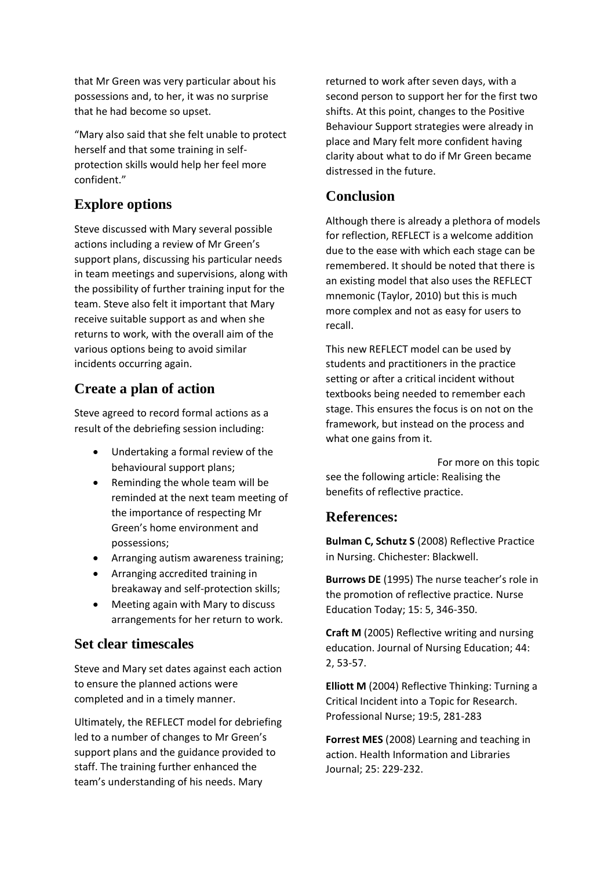that Mr Green was very particular about his possessions and, to her, it was no surprise that he had become so upset.

"Mary also said that she felt unable to protect herself and that some training in selfprotection skills would help her feel more confident."

## **Explore options**

Steve discussed with Mary several possible actions including a review of Mr Green's support plans, discussing his particular needs in team meetings and supervisions, along with the possibility of further training input for the team. Steve also felt it important that Mary receive suitable support as and when she returns to work, with the overall aim of the various options being to avoid similar incidents occurring again.

## **Create a plan of action**

Steve agreed to record formal actions as a result of the debriefing session including:

- Undertaking a formal review of the behavioural support plans;
- Reminding the whole team will be reminded at the next team meeting of the importance of respecting Mr Green's home environment and possessions;
- Arranging autism awareness training;
- Arranging accredited training in breakaway and self-protection skills;
- Meeting again with Mary to discuss arrangements for her return to work.

## **Set clear timescales**

Steve and Mary set dates against each action to ensure the planned actions were completed and in a timely manner.

Ultimately, the REFLECT model for debriefing led to a number of changes to Mr Green's support plans and the guidance provided to staff. The training further enhanced the team's understanding of his needs. Mary

returned to work after seven days, with a second person to support her for the first two shifts. At this point, changes to the Positive Behaviour Support strategies were already in place and Mary felt more confident having clarity about what to do if Mr Green became distressed in the future.

## **Conclusion**

Although there is already a plethora of models for reflection, REFLECT is a welcome addition due to the ease with which each stage can be remembered. It should be noted that there is an existing model that also uses the REFLECT mnemonic (Taylor, 2010) but this is much more complex and not as easy for users to recall.

This new REFLECT model can be used by students and practitioners in the practice setting or after a critical incident without textbooks being needed to remember each stage. This ensures the focus is on not on the framework, but instead on the process and what one gains from it.

For more on this topic see the following article: Realising the benefits of reflective practice.

## **References:**

**Bulman C, Schutz S** (2008) Reflective Practice in Nursing. Chichester: Blackwell.

**Burrows DE** (1995) The nurse teacher's role in the promotion of reflective practice. Nurse Education Today; 15: 5, 346-350.

**Craft M** (2005) Reflective writing and nursing education. Journal of Nursing Education; 44: 2, 53-57.

**Elliott M** (2004) Reflective Thinking: Turning a Critical Incident into a Topic for Research. Professional Nurse; 19:5, 281-283

**Forrest MES** (2008) Learning and teaching in action. Health Information and Libraries Journal; 25: 229-232.